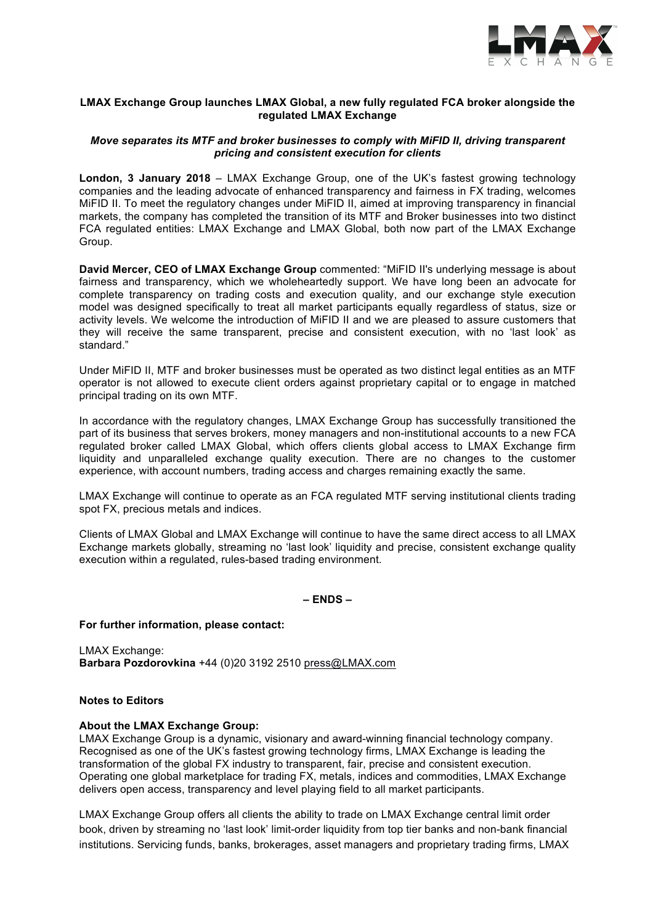

### **LMAX Exchange Group launches LMAX Global, a new fully regulated FCA broker alongside the regulated LMAX Exchange**

# *Move separates its MTF and broker businesses to comply with MiFID II, driving transparent pricing and consistent execution for clients*

**London, 3 January 2018** – LMAX Exchange Group, one of the UK's fastest growing technology companies and the leading advocate of enhanced transparency and fairness in FX trading, welcomes MiFID II. To meet the regulatory changes under MiFID II, aimed at improving transparency in financial markets, the company has completed the transition of its MTF and Broker businesses into two distinct FCA regulated entities: LMAX Exchange and LMAX Global, both now part of the LMAX Exchange Group.

**David Mercer, CEO of LMAX Exchange Group** commented: "MiFID II's underlying message is about fairness and transparency, which we wholeheartedly support. We have long been an advocate for complete transparency on trading costs and execution quality, and our exchange style execution model was designed specifically to treat all market participants equally regardless of status, size or activity levels. We welcome the introduction of MiFID II and we are pleased to assure customers that they will receive the same transparent, precise and consistent execution, with no 'last look' as standard."

Under MiFID II, MTF and broker businesses must be operated as two distinct legal entities as an MTF operator is not allowed to execute client orders against proprietary capital or to engage in matched principal trading on its own MTF.

In accordance with the regulatory changes, LMAX Exchange Group has successfully transitioned the part of its business that serves brokers, money managers and non-institutional accounts to a new FCA regulated broker called LMAX Global, which offers clients global access to LMAX Exchange firm liquidity and unparalleled exchange quality execution. There are no changes to the customer experience, with account numbers, trading access and charges remaining exactly the same.

LMAX Exchange will continue to operate as an FCA regulated MTF serving institutional clients trading spot FX, precious metals and indices.

Clients of LMAX Global and LMAX Exchange will continue to have the same direct access to all LMAX Exchange markets globally, streaming no 'last look' liquidity and precise, consistent exchange quality execution within a regulated, rules-based trading environment.

**– ENDS –**

### **For further information, please contact:**

LMAX Exchange: **Barbara Pozdorovkina** +44 (0)20 3192 2510 press@LMAX.com

### **Notes to Editors**

### **About the LMAX Exchange Group:**

LMAX Exchange Group is a dynamic, visionary and award-winning financial technology company. Recognised as one of the UK's fastest growing technology firms, LMAX Exchange is leading the transformation of the global FX industry to transparent, fair, precise and consistent execution. Operating one global marketplace for trading FX, metals, indices and commodities, LMAX Exchange delivers open access, transparency and level playing field to all market participants.

LMAX Exchange Group offers all clients the ability to trade on LMAX Exchange central limit order book, driven by streaming no 'last look' limit-order liquidity from top tier banks and non-bank financial institutions. Servicing funds, banks, brokerages, asset managers and proprietary trading firms, LMAX